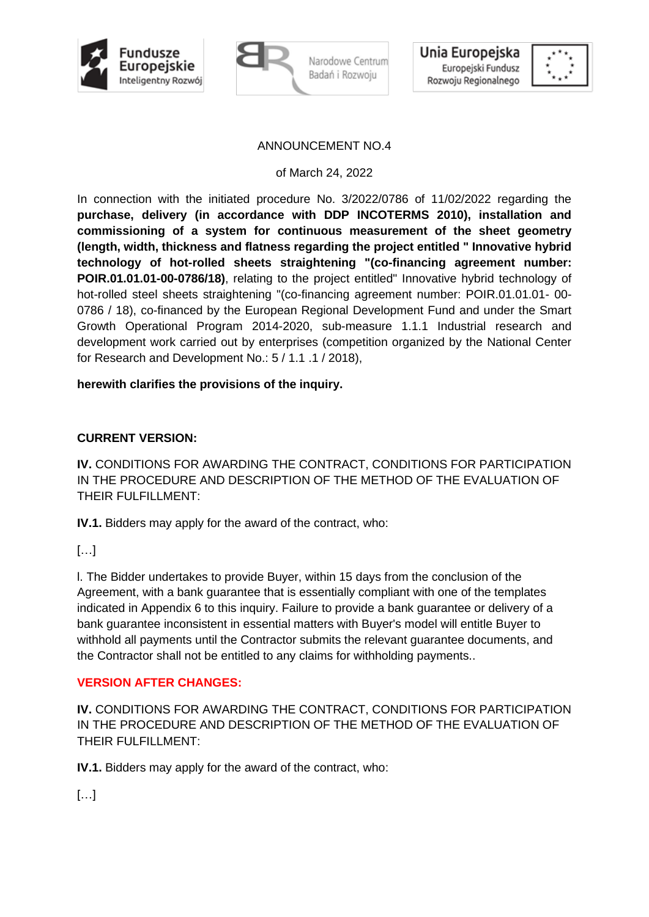





### ANNOUNCEMENT NO.4

of March 24, 2022

In connection with the initiated procedure No. 3/2022/0786 of 11/02/2022 regarding the **purchase, delivery (in accordance with DDP INCOTERMS 2010), installation and commissioning of a system for continuous measurement of the sheet geometry (length, width, thickness and flatness regarding the project entitled " Innovative hybrid technology of hot-rolled sheets straightening "(co-financing agreement number: POIR.01.01.01-00-0786/18)**, relating to the project entitled" Innovative hybrid technology of hot-rolled steel sheets straightening "(co-financing agreement number: POIR.01.01.01- 00- 0786 / 18), co-financed by the European Regional Development Fund and under the Smart Growth Operational Program 2014-2020, sub-measure 1.1.1 Industrial research and development work carried out by enterprises (competition organized by the National Center for Research and Development No.: 5 / 1.1 .1 / 2018),

### **herewith clarifies the provisions of the inquiry.**

### **CURRENT VERSION:**

**IV.** CONDITIONS FOR AWARDING THE CONTRACT, CONDITIONS FOR PARTICIPATION IN THE PROCEDURE AND DESCRIPTION OF THE METHOD OF THE EVALUATION OF THEIR FULFILL MENT:

**IV.1.** Bidders may apply for the award of the contract, who:

 $\left[\ldots\right]$ 

l. The Bidder undertakes to provide Buyer, within 15 days from the conclusion of the Agreement, with a bank guarantee that is essentially compliant with one of the templates indicated in Appendix 6 to this inquiry. Failure to provide a bank guarantee or delivery of a bank guarantee inconsistent in essential matters with Buyer's model will entitle Buyer to withhold all payments until the Contractor submits the relevant guarantee documents, and the Contractor shall not be entitled to any claims for withholding payments..

## **VERSION AFTER CHANGES:**

**IV.** CONDITIONS FOR AWARDING THE CONTRACT, CONDITIONS FOR PARTICIPATION IN THE PROCEDURE AND DESCRIPTION OF THE METHOD OF THE EVALUATION OF THEIR FULFILLMENT:

**IV.1.** Bidders may apply for the award of the contract, who:

 $\lceil$ ...]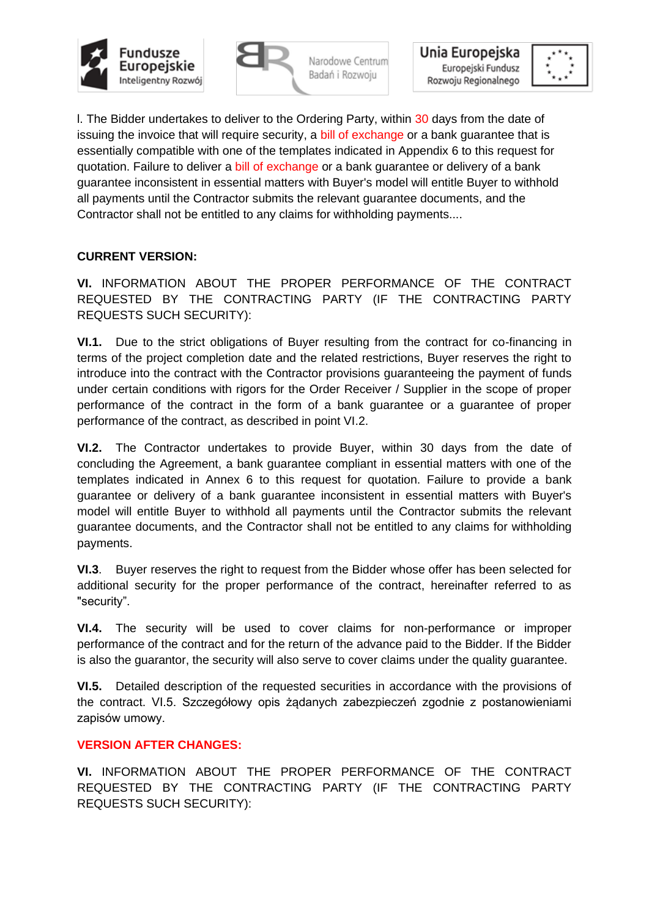



Unia Europejska Europejski Fundusz Rozwoju Regionalnego



l. The Bidder undertakes to deliver to the Ordering Party, within 30 days from the date of issuing the invoice that will require security, a bill of exchange or a bank guarantee that is essentially compatible with one of the templates indicated in Appendix 6 to this request for quotation. Failure to deliver a bill of exchange or a bank guarantee or delivery of a bank guarantee inconsistent in essential matters with Buyer's model will entitle Buyer to withhold all payments until the Contractor submits the relevant guarantee documents, and the Contractor shall not be entitled to any claims for withholding payments....

# **CURRENT VERSION:**

**VI.** INFORMATION ABOUT THE PROPER PERFORMANCE OF THE CONTRACT REQUESTED BY THE CONTRACTING PARTY (IF THE CONTRACTING PARTY REQUESTS SUCH SECURITY):

**VI.1.** Due to the strict obligations of Buyer resulting from the contract for co-financing in terms of the project completion date and the related restrictions, Buyer reserves the right to introduce into the contract with the Contractor provisions guaranteeing the payment of funds under certain conditions with rigors for the Order Receiver / Supplier in the scope of proper performance of the contract in the form of a bank guarantee or a guarantee of proper performance of the contract, as described in point VI.2.

**VI.2.** The Contractor undertakes to provide Buyer, within 30 days from the date of concluding the Agreement, a bank guarantee compliant in essential matters with one of the templates indicated in Annex 6 to this request for quotation. Failure to provide a bank guarantee or delivery of a bank guarantee inconsistent in essential matters with Buyer's model will entitle Buyer to withhold all payments until the Contractor submits the relevant guarantee documents, and the Contractor shall not be entitled to any claims for withholding payments.

**VI.3**. Buyer reserves the right to request from the Bidder whose offer has been selected for additional security for the proper performance of the contract, hereinafter referred to as "security".

**VI.4.** The security will be used to cover claims for non-performance or improper performance of the contract and for the return of the advance paid to the Bidder. If the Bidder is also the guarantor, the security will also serve to cover claims under the quality guarantee.

**VI.5.** Detailed description of the requested securities in accordance with the provisions of the contract. VI.5. Szczegółowy opis żądanych zabezpieczeń zgodnie z postanowieniami zapisów umowy.

## **VERSION AFTER CHANGES:**

**VI.** INFORMATION ABOUT THE PROPER PERFORMANCE OF THE CONTRACT REQUESTED BY THE CONTRACTING PARTY (IF THE CONTRACTING PARTY REQUESTS SUCH SECURITY):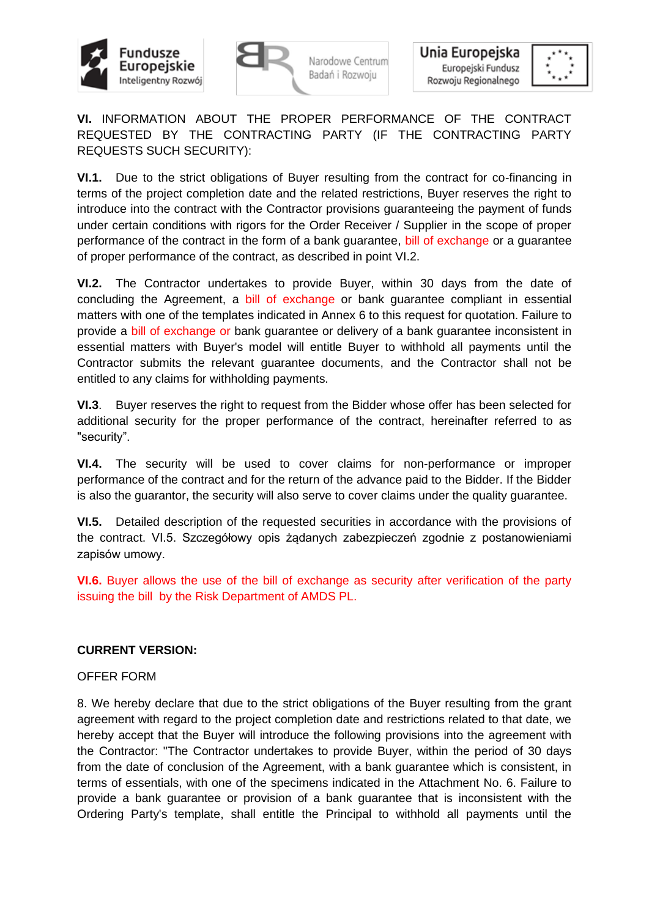



Unia Europejska Europejski Fundusz Rozwoju Regionalnego



**VI.** INFORMATION ABOUT THE PROPER PERFORMANCE OF THE CONTRACT REQUESTED BY THE CONTRACTING PARTY (IF THE CONTRACTING PARTY REQUESTS SUCH SECURITY):

**VI.1.** Due to the strict obligations of Buyer resulting from the contract for co-financing in terms of the project completion date and the related restrictions, Buyer reserves the right to introduce into the contract with the Contractor provisions guaranteeing the payment of funds under certain conditions with rigors for the Order Receiver / Supplier in the scope of proper performance of the contract in the form of a bank guarantee, bill of exchange or a guarantee of proper performance of the contract, as described in point VI.2.

**VI.2.** The Contractor undertakes to provide Buyer, within 30 days from the date of concluding the Agreement, a bill of exchange or bank guarantee compliant in essential matters with one of the templates indicated in Annex 6 to this request for quotation. Failure to provide a bill of exchange or bank guarantee or delivery of a bank guarantee inconsistent in essential matters with Buyer's model will entitle Buyer to withhold all payments until the Contractor submits the relevant guarantee documents, and the Contractor shall not be entitled to any claims for withholding payments.

**VI.3**. Buyer reserves the right to request from the Bidder whose offer has been selected for additional security for the proper performance of the contract, hereinafter referred to as "security".

**VI.4.** The security will be used to cover claims for non-performance or improper performance of the contract and for the return of the advance paid to the Bidder. If the Bidder is also the guarantor, the security will also serve to cover claims under the quality guarantee.

**VI.5.** Detailed description of the requested securities in accordance with the provisions of the contract. VI.5. Szczegółowy opis żądanych zabezpieczeń zgodnie z postanowieniami zapisów umowy.

**VI.6.** Buyer allows the use of the bill of exchange as security after verification of the party issuing the bill by the Risk Department of AMDS PL.

#### **CURRENT VERSION:**

#### OFFER FORM

8. We hereby declare that due to the strict obligations of the Buyer resulting from the grant agreement with regard to the project completion date and restrictions related to that date, we hereby accept that the Buyer will introduce the following provisions into the agreement with the Contractor: "The Contractor undertakes to provide Buyer, within the period of 30 days from the date of conclusion of the Agreement, with a bank guarantee which is consistent, in terms of essentials, with one of the specimens indicated in the Attachment No. 6. Failure to provide a bank guarantee or provision of a bank guarantee that is inconsistent with the Ordering Party's template, shall entitle the Principal to withhold all payments until the